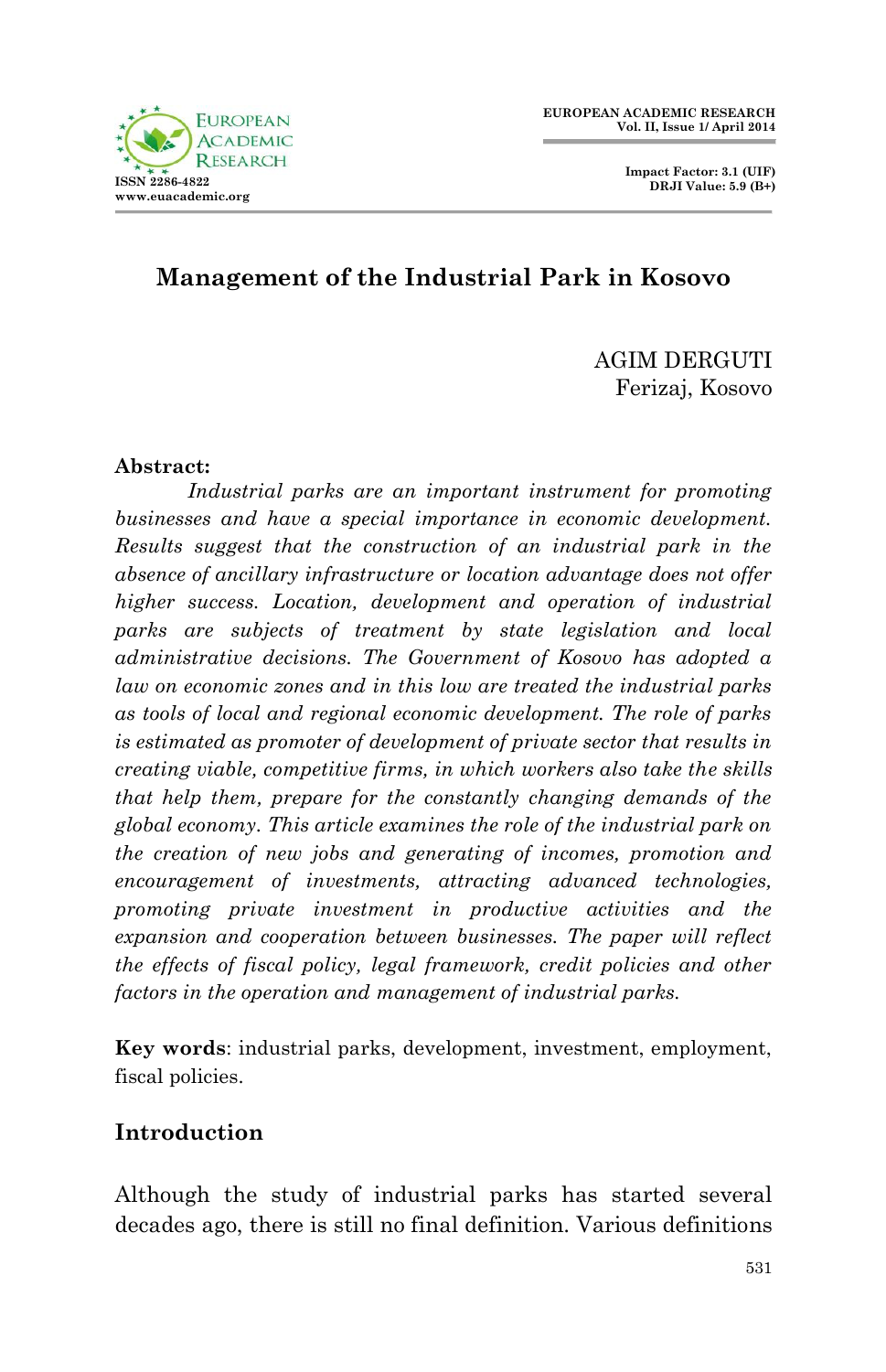

 **Impact Factor: 3.1 (UIF) DRJI Value: 5.9 (B+)**

## **Management of the Industrial Park in Kosovo**

AGIM DERGUTI Ferizaj, Kosovo

#### **Abstract:**

*Industrial parks are an important instrument for promoting businesses and have a special importance in economic development. Results suggest that the construction of an industrial park in the absence of ancillary infrastructure or location advantage does not offer higher success. Location, development and operation of industrial parks are subjects of treatment by state legislation and local administrative decisions. The Government of Kosovo has adopted a law on economic zones and in this low are treated the industrial parks as tools of local and regional economic development. The role of parks is estimated as promoter of development of private sector that results in creating viable, competitive firms, in which workers also take the skills that help them, prepare for the constantly changing demands of the global economy. This article examines the role of the industrial park on the creation of new jobs and generating of incomes, promotion and encouragement of investments, attracting advanced technologies, promoting private investment in productive activities and the expansion and cooperation between businesses. The paper will reflect the effects of fiscal policy, legal framework, credit policies and other factors in the operation and management of industrial parks.*

**Key words**: industrial parks, development, investment, employment, fiscal policies.

#### **Introduction**

Although the study of industrial parks has started several decades ago, there is still no final definition. Various definitions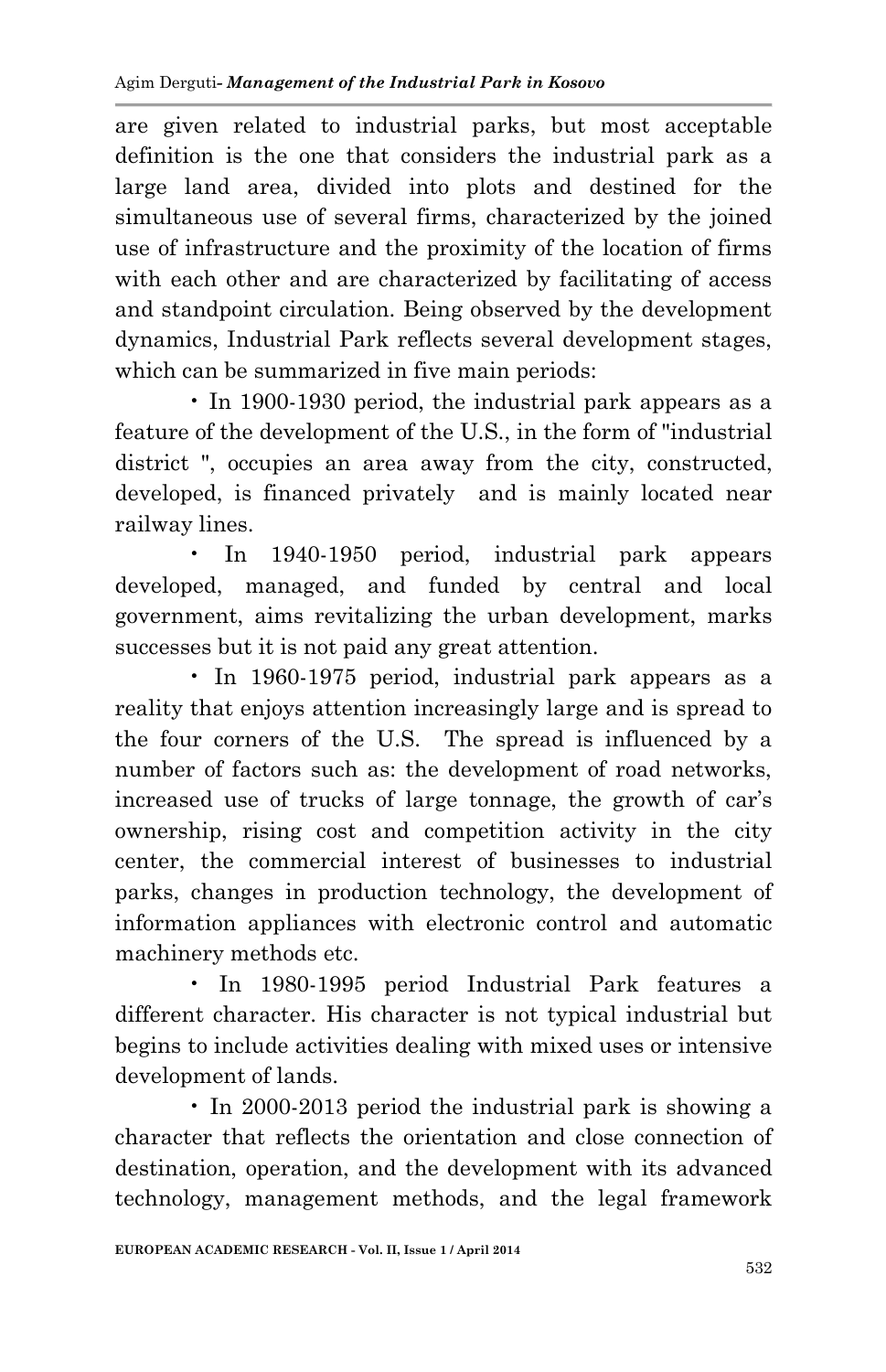are given related to industrial parks, but most acceptable definition is the one that considers the industrial park as a large land area, divided into plots and destined for the simultaneous use of several firms, characterized by the joined use of infrastructure and the proximity of the location of firms with each other and are characterized by facilitating of access and standpoint circulation. Being observed by the development dynamics, Industrial Park reflects several development stages, which can be summarized in five main periods:

• In 1900-1930 period, the industrial park appears as a feature of the development of the U.S., in the form of "industrial district ", occupies an area away from the city, constructed, developed, is financed privately and is mainly located near railway lines.

• In 1940-1950 period, industrial park appears developed, managed, and funded by central and local government, aims revitalizing the urban development, marks successes but it is not paid any great attention.

• In 1960-1975 period, industrial park appears as a reality that enjoys attention increasingly large and is spread to the four corners of the U.S. The spread is influenced by a number of factors such as: the development of road networks, increased use of trucks of large tonnage, the growth of car's ownership, rising cost and competition activity in the city center, the commercial interest of businesses to industrial parks, changes in production technology, the development of information appliances with electronic control and automatic machinery methods etc.

• In 1980-1995 period Industrial Park features a different character. His character is not typical industrial but begins to include activities dealing with mixed uses or intensive development of lands.

• In 2000-2013 period the industrial park is showing a character that reflects the orientation and close connection of destination, operation, and the development with its advanced technology, management methods, and the legal framework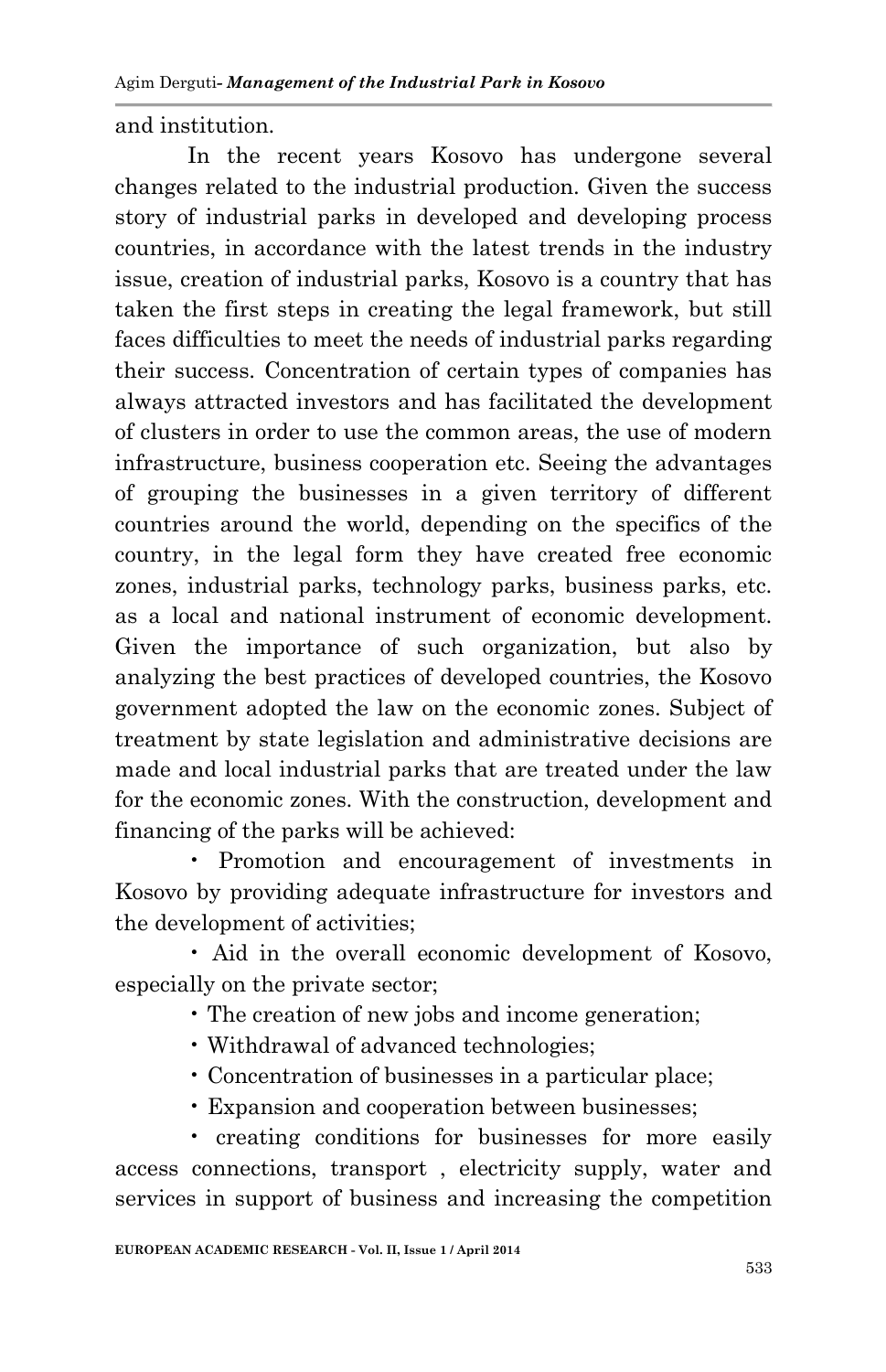and institution.

In the recent years Kosovo has undergone several changes related to the industrial production. Given the success story of industrial parks in developed and developing process countries, in accordance with the latest trends in the industry issue, creation of industrial parks, Kosovo is a country that has taken the first steps in creating the legal framework, but still faces difficulties to meet the needs of industrial parks regarding their success. Concentration of certain types of companies has always attracted investors and has facilitated the development of clusters in order to use the common areas, the use of modern infrastructure, business cooperation etc. Seeing the advantages of grouping the businesses in a given territory of different countries around the world, depending on the specifics of the country, in the legal form they have created free economic zones, industrial parks, technology parks, business parks, etc. as a local and national instrument of economic development. Given the importance of such organization, but also by analyzing the best practices of developed countries, the Kosovo government adopted the law on the economic zones. Subject of treatment by state legislation and administrative decisions are made and local industrial parks that are treated under the law for the economic zones. With the construction, development and financing of the parks will be achieved:

• Promotion and encouragement of investments in Kosovo by providing adequate infrastructure for investors and the development of activities;

• Aid in the overall economic development of Kosovo, especially on the private sector;

• The creation of new jobs and income generation;

- Withdrawal of advanced technologies;
- Concentration of businesses in a particular place;
- Expansion and cooperation between businesses;

• creating conditions for businesses for more easily access connections, transport , electricity supply, water and services in support of business and increasing the competition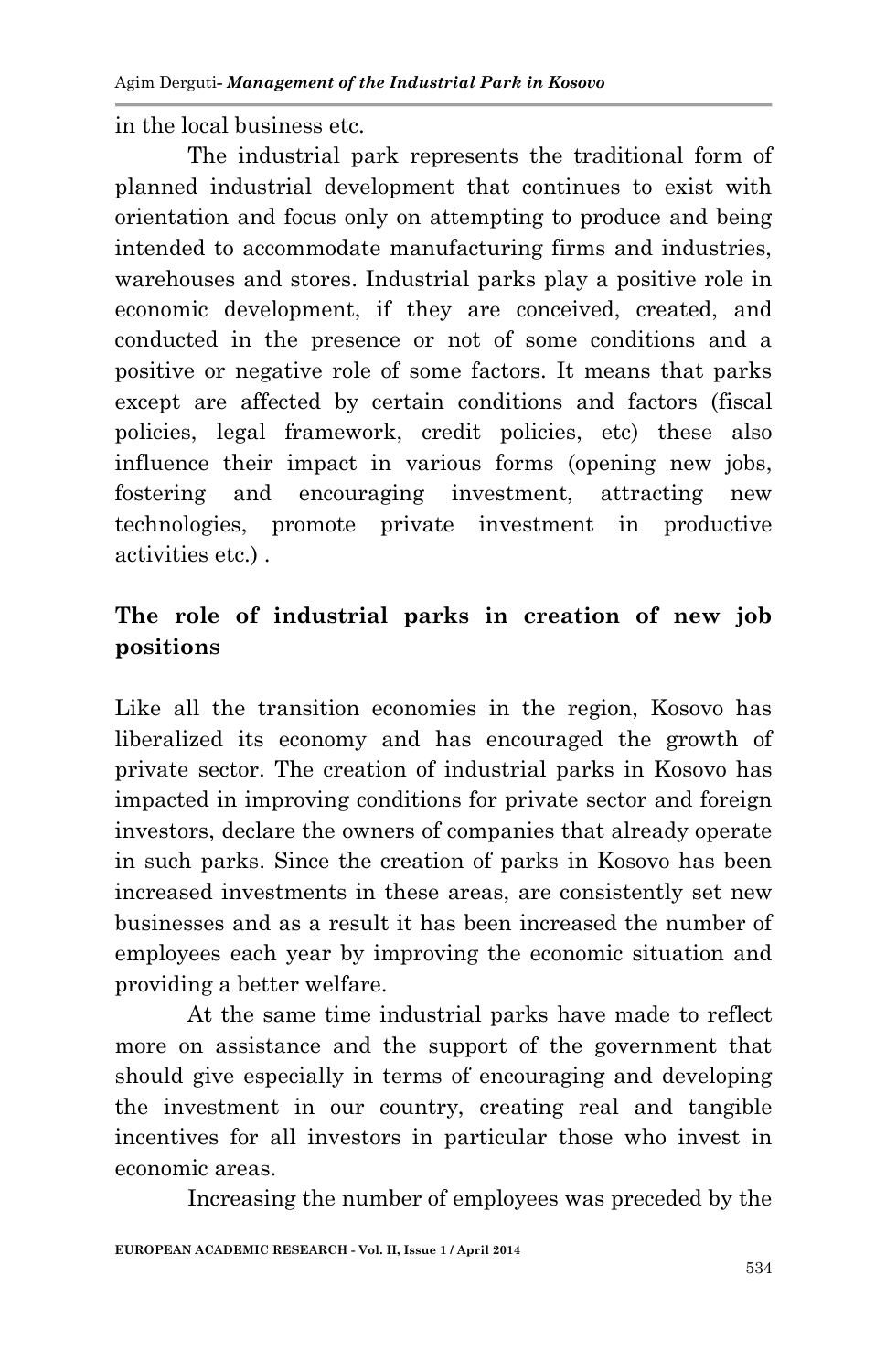in the local business etc.

The industrial park represents the traditional form of planned industrial development that continues to exist with orientation and focus only on attempting to produce and being intended to accommodate manufacturing firms and industries, warehouses and stores. Industrial parks play a positive role in economic development, if they are conceived, created, and conducted in the presence or not of some conditions and a positive or negative role of some factors. It means that parks except are affected by certain conditions and factors (fiscal policies, legal framework, credit policies, etc) these also influence their impact in various forms (opening new jobs, fostering and encouraging investment, attracting new technologies, promote private investment in productive activities etc.) .

## **The role of industrial parks in creation of new job positions**

Like all the transition economies in the region, Kosovo has liberalized its economy and has encouraged the growth of private sector. The creation of industrial parks in Kosovo has impacted in improving conditions for private sector and foreign investors, declare the owners of companies that already operate in such parks. Since the creation of parks in Kosovo has been increased investments in these areas, are consistently set new businesses and as a result it has been increased the number of employees each year by improving the economic situation and providing a better welfare.

At the same time industrial parks have made to reflect more on assistance and the support of the government that should give especially in terms of encouraging and developing the investment in our country, creating real and tangible incentives for all investors in particular those who invest in economic areas.

Increasing the number of employees was preceded by the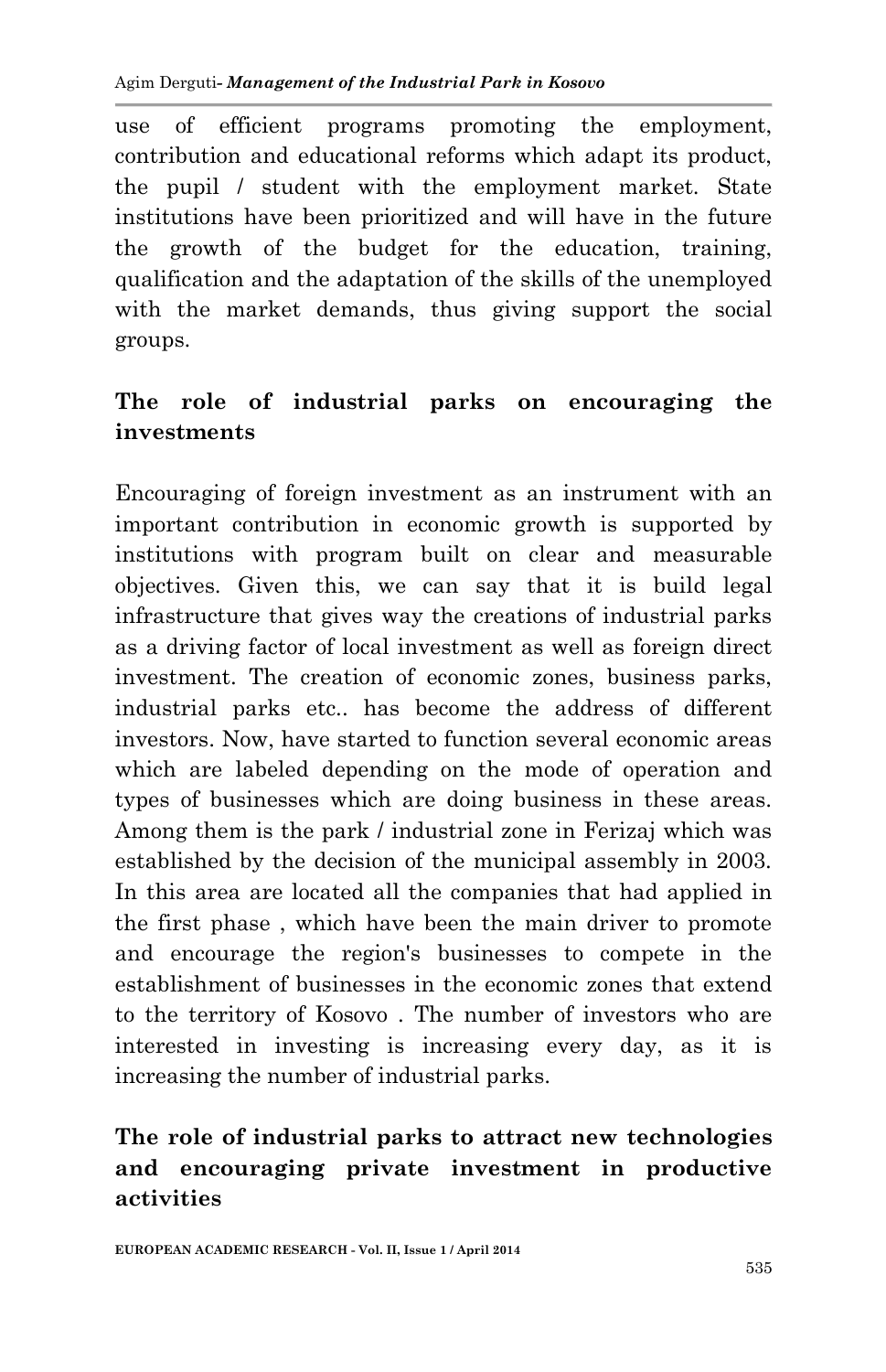use of efficient programs promoting the employment, contribution and educational reforms which adapt its product, the pupil / student with the employment market. State institutions have been prioritized and will have in the future the growth of the budget for the education, training, qualification and the adaptation of the skills of the unemployed with the market demands, thus giving support the social groups.

## **The role of industrial parks on encouraging the investments**

Encouraging of foreign investment as an instrument with an important contribution in economic growth is supported by institutions with program built on clear and measurable objectives. Given this, we can say that it is build legal infrastructure that gives way the creations of industrial parks as a driving factor of local investment as well as foreign direct investment. The creation of economic zones, business parks, industrial parks etc.. has become the address of different investors. Now, have started to function several economic areas which are labeled depending on the mode of operation and types of businesses which are doing business in these areas. Among them is the park / industrial zone in Ferizaj which was established by the decision of the municipal assembly in 2003. In this area are located all the companies that had applied in the first phase , which have been the main driver to promote and encourage the region's businesses to compete in the establishment of businesses in the economic zones that extend to the territory of Kosovo . The number of investors who are interested in investing is increasing every day, as it is increasing the number of industrial parks.

# **The role of industrial parks to attract new technologies and encouraging private investment in productive activities**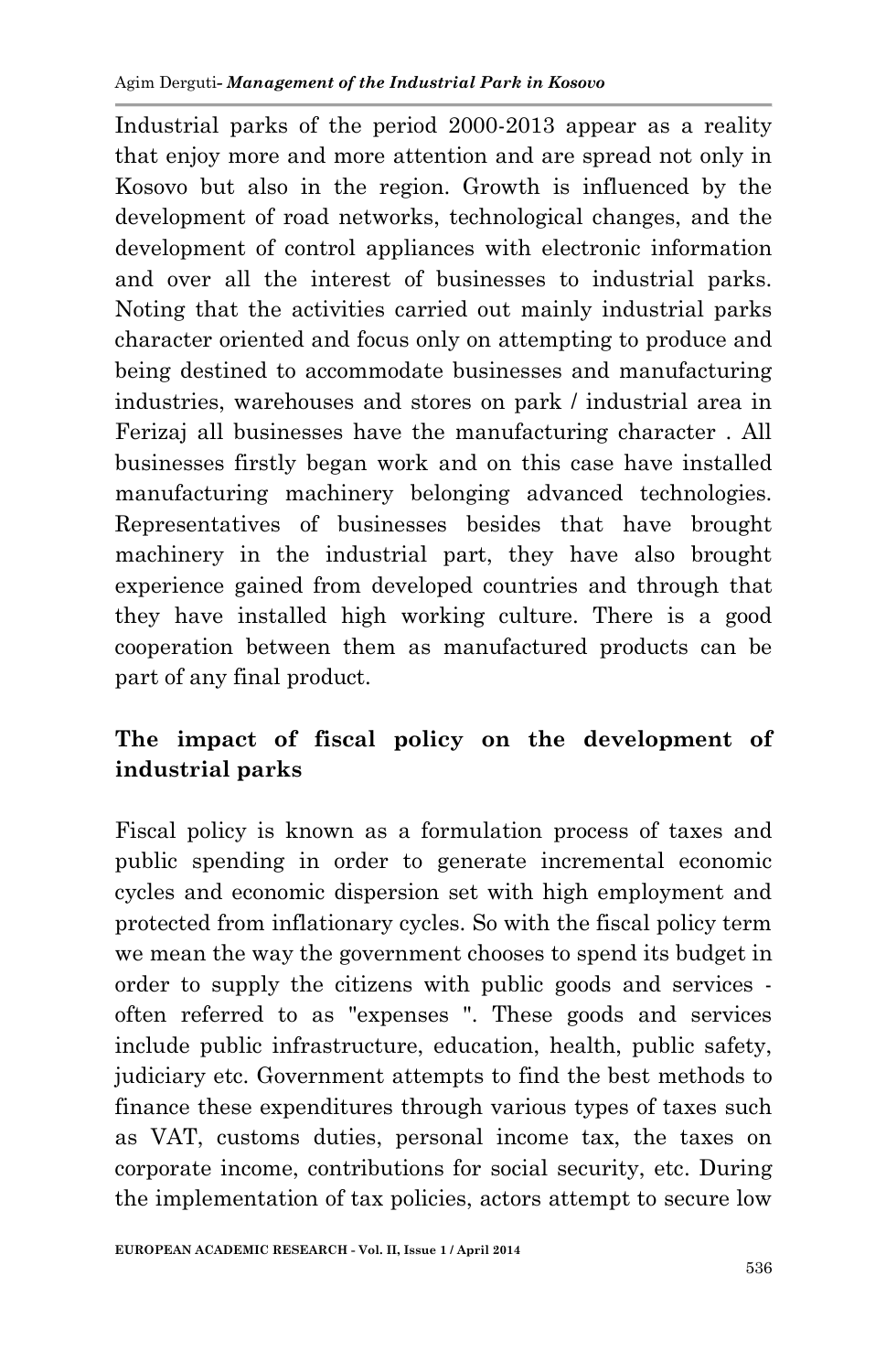Industrial parks of the period 2000-2013 appear as a reality that enjoy more and more attention and are spread not only in Kosovo but also in the region. Growth is influenced by the development of road networks, technological changes, and the development of control appliances with electronic information and over all the interest of businesses to industrial parks. Noting that the activities carried out mainly industrial parks character oriented and focus only on attempting to produce and being destined to accommodate businesses and manufacturing industries, warehouses and stores on park / industrial area in Ferizaj all businesses have the manufacturing character . All businesses firstly began work and on this case have installed manufacturing machinery belonging advanced technologies. Representatives of businesses besides that have brought machinery in the industrial part, they have also brought experience gained from developed countries and through that they have installed high working culture. There is a good cooperation between them as manufactured products can be part of any final product.

# **The impact of fiscal policy on the development of industrial parks**

Fiscal policy is known as a formulation process of taxes and public spending in order to generate incremental economic cycles and economic dispersion set with high employment and protected from inflationary cycles. So with the fiscal policy term we mean the way the government chooses to spend its budget in order to supply the citizens with public goods and services often referred to as "expenses ". These goods and services include public infrastructure, education, health, public safety, judiciary etc. Government attempts to find the best methods to finance these expenditures through various types of taxes such as VAT, customs duties, personal income tax, the taxes on corporate income, contributions for social security, etc. During the implementation of tax policies, actors attempt to secure low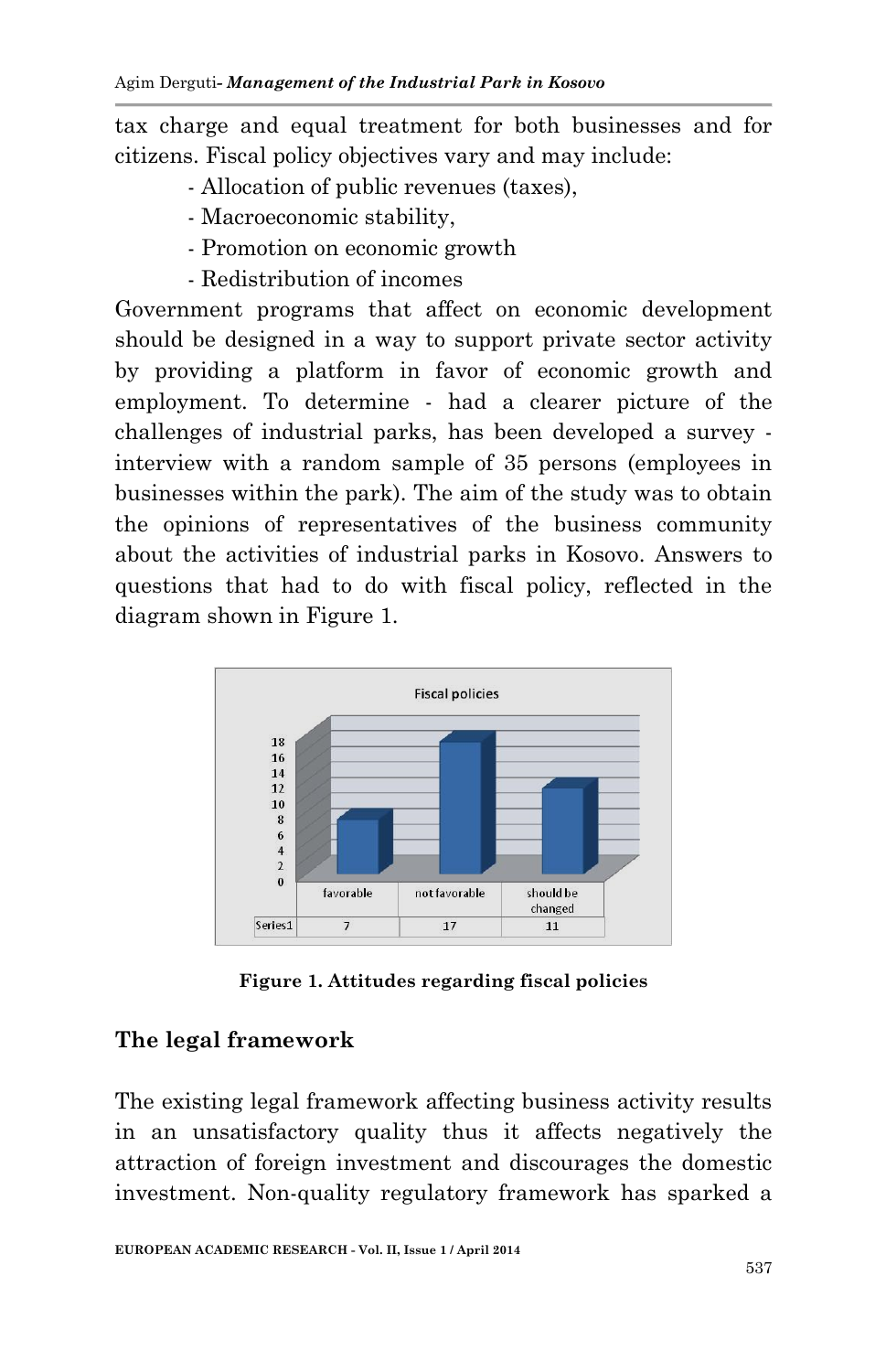tax charge and equal treatment for both businesses and for citizens. Fiscal policy objectives vary and may include:

- Allocation of public revenues (taxes),
- Macroeconomic stability,
- Promotion on economic growth
- Redistribution of incomes

Government programs that affect on economic development should be designed in a way to support private sector activity by providing a platform in favor of economic growth and employment. To determine - had a clearer picture of the challenges of industrial parks, has been developed a survey interview with a random sample of 35 persons (employees in businesses within the park). The aim of the study was to obtain the opinions of representatives of the business community about the activities of industrial parks in Kosovo. Answers to questions that had to do with fiscal policy, reflected in the diagram shown in Figure 1.



**Figure 1. Attitudes regarding fiscal policies**

## **The legal framework**

The existing legal framework affecting business activity results in an unsatisfactory quality thus it affects negatively the attraction of foreign investment and discourages the domestic investment. Non-quality regulatory framework has sparked a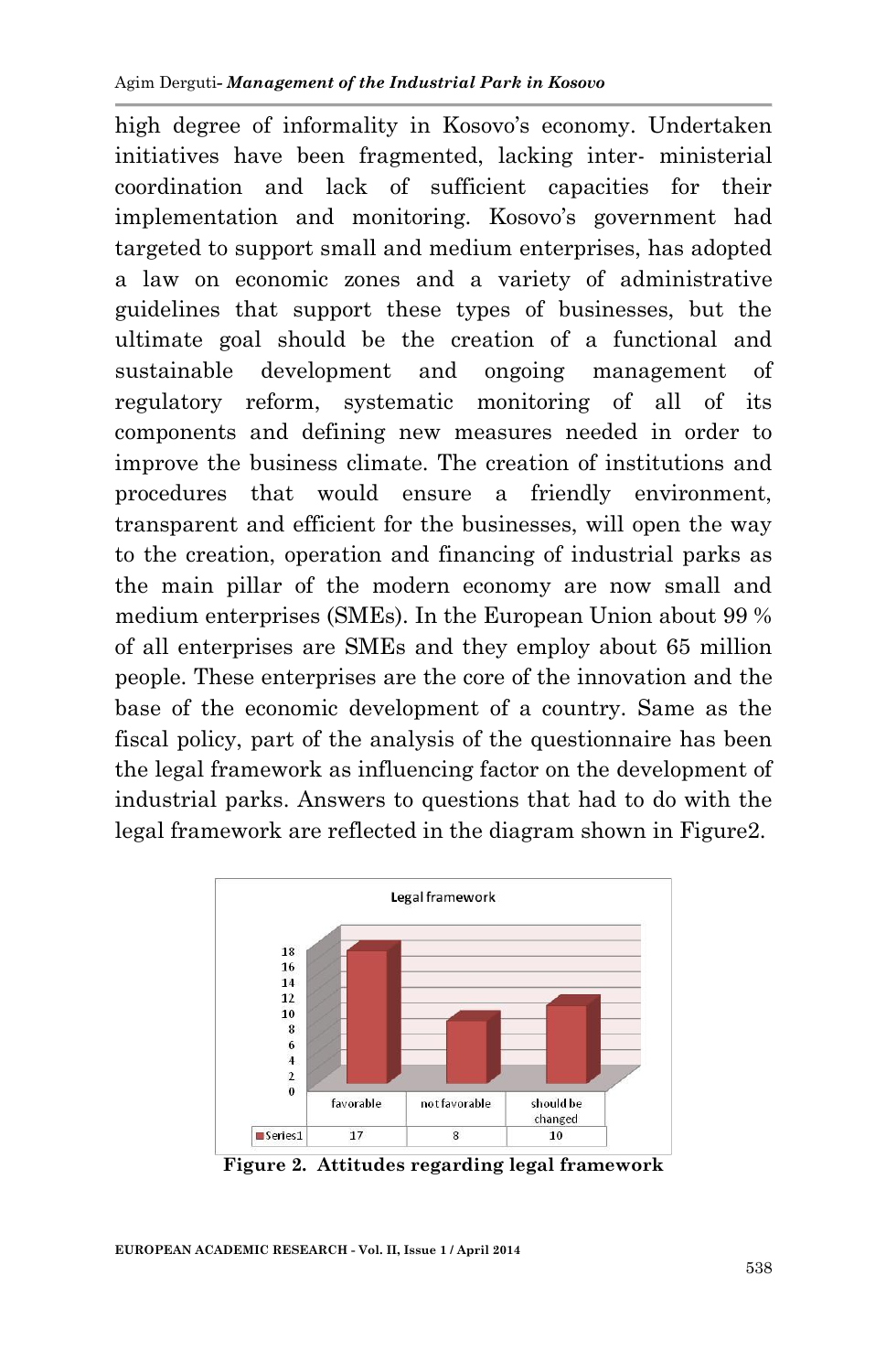high degree of informality in Kosovo's economy. Undertaken initiatives have been fragmented, lacking inter- ministerial coordination and lack of sufficient capacities for their implementation and monitoring. Kosovo's government had targeted to support small and medium enterprises, has adopted a law on economic zones and a variety of administrative guidelines that support these types of businesses, but the ultimate goal should be the creation of a functional and sustainable development and ongoing management of regulatory reform, systematic monitoring of all of its components and defining new measures needed in order to improve the business climate. The creation of institutions and procedures that would ensure a friendly environment, transparent and efficient for the businesses, will open the way to the creation, operation and financing of industrial parks as the main pillar of the modern economy are now small and medium enterprises (SMEs). In the European Union about 99 % of all enterprises are SMEs and they employ about 65 million people. These enterprises are the core of the innovation and the base of the economic development of a country. Same as the fiscal policy, part of the analysis of the questionnaire has been the legal framework as influencing factor on the development of industrial parks. Answers to questions that had to do with the legal framework are reflected in the diagram shown in Figure2.



**Figure 2. Attitudes regarding legal framework**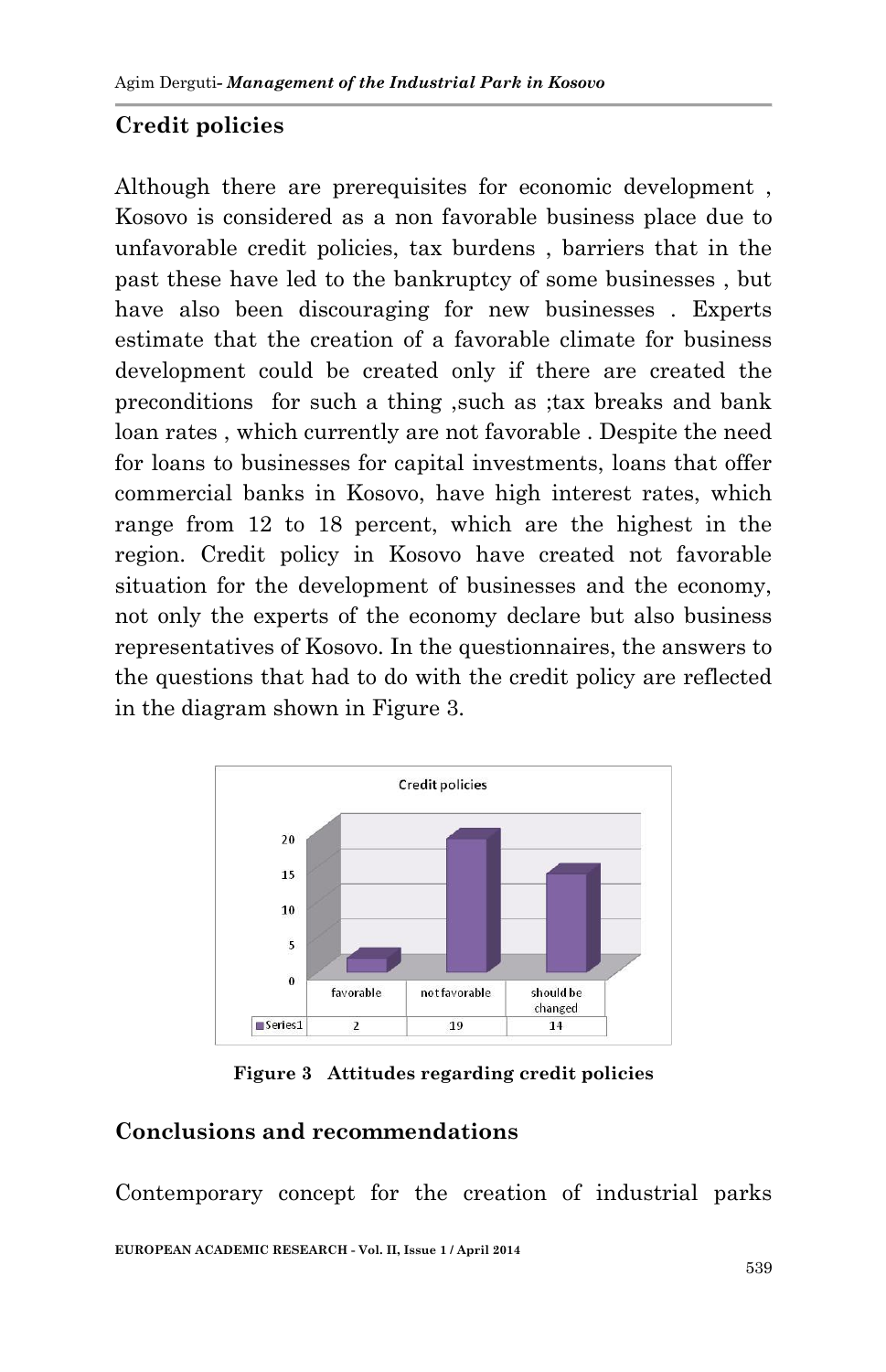# **Credit policies**

Although there are prerequisites for economic development , Kosovo is considered as a non favorable business place due to unfavorable credit policies, tax burdens , barriers that in the past these have led to the bankruptcy of some businesses , but have also been discouraging for new businesses. Experts estimate that the creation of a favorable climate for business development could be created only if there are created the preconditions for such a thing ,such as ;tax breaks and bank loan rates , which currently are not favorable . Despite the need for loans to businesses for capital investments, loans that offer commercial banks in Kosovo, have high interest rates, which range from 12 to 18 percent, which are the highest in the region. Credit policy in Kosovo have created not favorable situation for the development of businesses and the economy, not only the experts of the economy declare but also business representatives of Kosovo. In the questionnaires, the answers to the questions that had to do with the credit policy are reflected in the diagram shown in Figure 3.



**Figure 3 Attitudes regarding credit policies**

## **Conclusions and recommendations**

**EUROPEAN ACADEMIC RESEARCH - Vol. II, Issue 1 / April 2014** Contemporary concept for the creation of industrial parks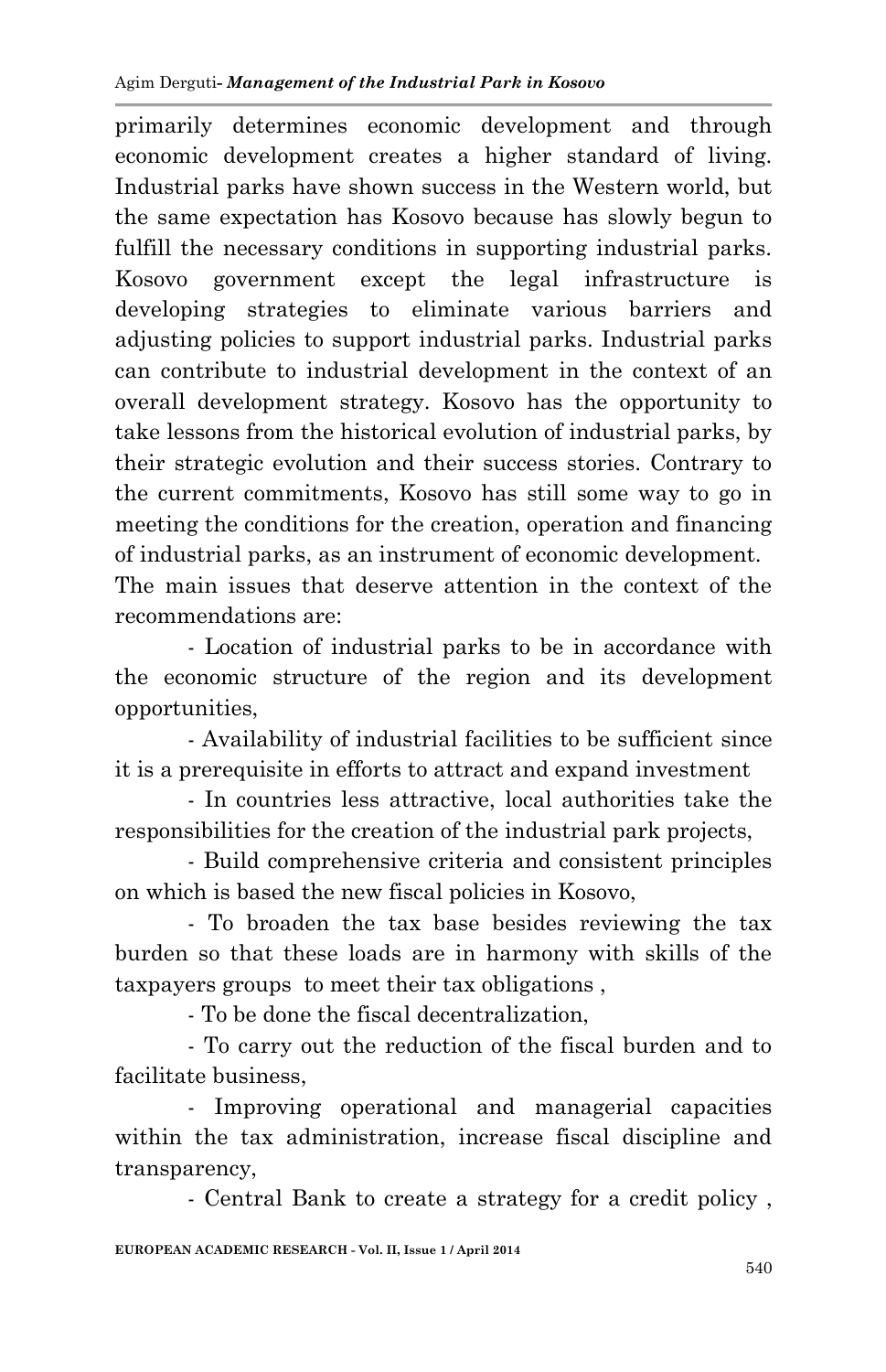primarily determines economic development and through economic development creates a higher standard of living. Industrial parks have shown success in the Western world, but the same expectation has Kosovo because has slowly begun to fulfill the necessary conditions in supporting industrial parks. Kosovo government except the legal infrastructure is developing strategies to eliminate various barriers and adjusting policies to support industrial parks. Industrial parks can contribute to industrial development in the context of an overall development strategy. Kosovo has the opportunity to take lessons from the historical evolution of industrial parks, by their strategic evolution and their success stories. Contrary to the current commitments, Kosovo has still some way to go in meeting the conditions for the creation, operation and financing of industrial parks, as an instrument of economic development. The main issues that deserve attention in the context of the recommendations are:

- Location of industrial parks to be in accordance with the economic structure of the region and its development opportunities,

- Availability of industrial facilities to be sufficient since it is a prerequisite in efforts to attract and expand investment

- In countries less attractive, local authorities take the responsibilities for the creation of the industrial park projects,

- Build comprehensive criteria and consistent principles on which is based the new fiscal policies in Kosovo,

- To broaden the tax base besides reviewing the tax burden so that these loads are in harmony with skills of the taxpayers groups to meet their tax obligations ,

- To be done the fiscal decentralization,

- To carry out the reduction of the fiscal burden and to facilitate business,

- Improving operational and managerial capacities within the tax administration, increase fiscal discipline and transparency,

- Central Bank to create a strategy for a credit policy ,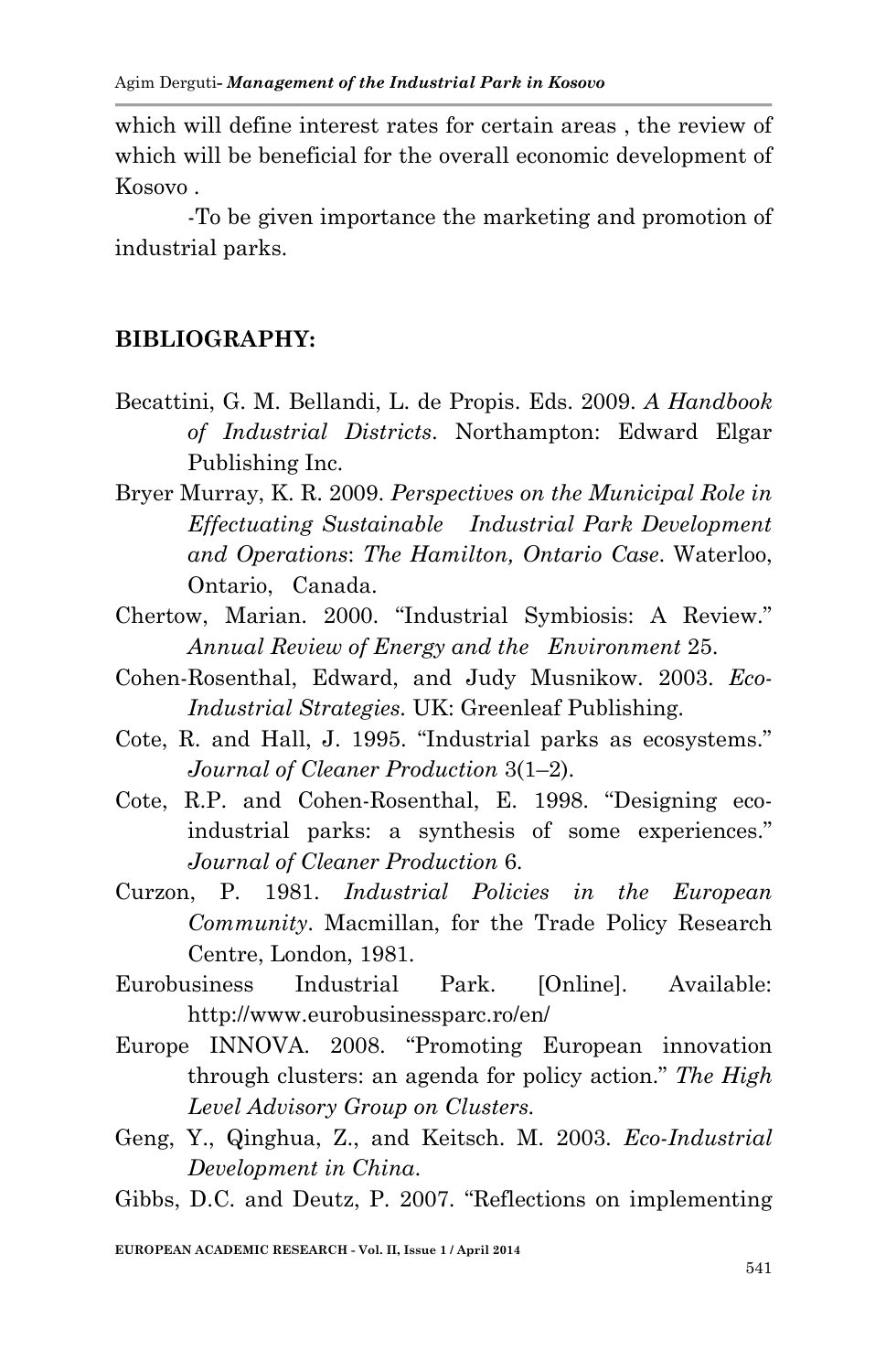which will define interest rates for certain areas , the review of which will be beneficial for the overall economic development of Kosovo .

-To be given importance the marketing and promotion of industrial parks.

#### **BIBLIOGRAPHY:**

- Becattini, G. M. Bellandi, L. de Propis. Eds. 2009. *A Handbook of Industrial Districts*. Northampton: Edward Elgar Publishing Inc.
- Bryer Murray, K. R. 2009. *Perspectives on the Municipal Role in Effectuating Sustainable Industrial Park Development and Operations*: *The Hamilton, Ontario Case*. Waterloo, Ontario, Canada.
- Chertow, Marian. 2000. "Industrial Symbiosis: A Review." *Annual Review of Energy and the Environment* 25.
- Cohen-Rosenthal, Edward, and Judy Musnikow. 2003. *Eco-Industrial Strategies.* UK: Greenleaf Publishing.
- Cote, R. and Hall, J. 1995. "Industrial parks as ecosystems." *Journal of Cleaner Production* 3(1–2).
- Cote, R.P. and Cohen-Rosenthal, E. 1998. "Designing ecoindustrial parks: a synthesis of some experiences." *Journal of Cleaner Production* 6.
- Curzon, P. 1981. *Industrial Policies in the European Community*. Macmillan, for the Trade Policy Research Centre, London, 1981.
- Eurobusiness Industrial Park. [Online]. Available: http://www.eurobusinessparc.ro/en/
- Europe INNOVA. 2008. "Promoting European innovation through clusters: an agenda for policy action." *The High Level Advisory Group on Clusters.*
- Geng, Y., Qinghua, Z., and Keitsch. M. 2003. *Eco-Industrial Development in China*.
- Gibbs, D.C. and Deutz, P. 2007. "Reflections on implementing